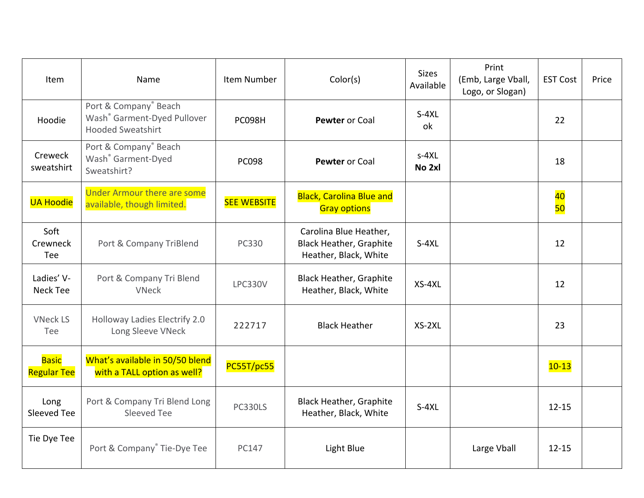| Item                               | Name                                                                                         | Item Number        | Color(s)                                                                          | <b>Sizes</b><br>Available | Print<br>(Emb, Large Vball,<br>Logo, or Slogan) | <b>EST Cost</b> | Price |
|------------------------------------|----------------------------------------------------------------------------------------------|--------------------|-----------------------------------------------------------------------------------|---------------------------|-------------------------------------------------|-----------------|-------|
| Hoodie                             | Port & Company® Beach<br>Wash <sup>®</sup> Garment-Dyed Pullover<br><b>Hooded Sweatshirt</b> | <b>PC098H</b>      | Pewter or Coal                                                                    | $S-4XL$<br>ok             |                                                 | 22              |       |
| Creweck<br>sweatshirt              | Port & Company® Beach<br>Wash <sup>®</sup> Garment-Dyed<br>Sweatshirt?                       | <b>PC098</b>       | Pewter or Coal                                                                    | $s-4XL$<br>No 2xl         |                                                 | 18              |       |
| <b>UA Hoodie</b>                   | <b>Under Armour there are some</b><br>available, though limited.                             | <b>SEE WEBSITE</b> | <b>Black, Carolina Blue and</b><br><b>Gray options</b>                            |                           |                                                 | 40<br>50        |       |
| Soft<br>Crewneck<br>Tee            | Port & Company TriBlend                                                                      | <b>PC330</b>       | Carolina Blue Heather,<br><b>Black Heather, Graphite</b><br>Heather, Black, White | $S-4XL$                   |                                                 | 12              |       |
| Ladies' V-<br>Neck Tee             | Port & Company Tri Blend<br><b>VNeck</b>                                                     | <b>LPC330V</b>     | <b>Black Heather, Graphite</b><br>Heather, Black, White                           | XS-4XL                    |                                                 | 12              |       |
| <b>VNeck LS</b><br>Tee             | Holloway Ladies Electrify 2.0<br>Long Sleeve VNeck                                           | 222717             | <b>Black Heather</b>                                                              | $XS-2XL$                  |                                                 | 23              |       |
| <b>Basic</b><br><b>Regular Tee</b> | What's available in 50/50 blend<br>with a TALL option as well?                               | PC55T/pc55         |                                                                                   |                           |                                                 | $10 - 13$       |       |
| Long<br>Sleeved Tee                | Port & Company Tri Blend Long<br>Sleeved Tee                                                 | <b>PC330LS</b>     | <b>Black Heather, Graphite</b><br>Heather, Black, White                           | $S-4XL$                   |                                                 | $12 - 15$       |       |
| Tie Dye Tee                        | Port & Company® Tie-Dye Tee                                                                  | PC147              | Light Blue                                                                        |                           | Large Vball                                     | $12 - 15$       |       |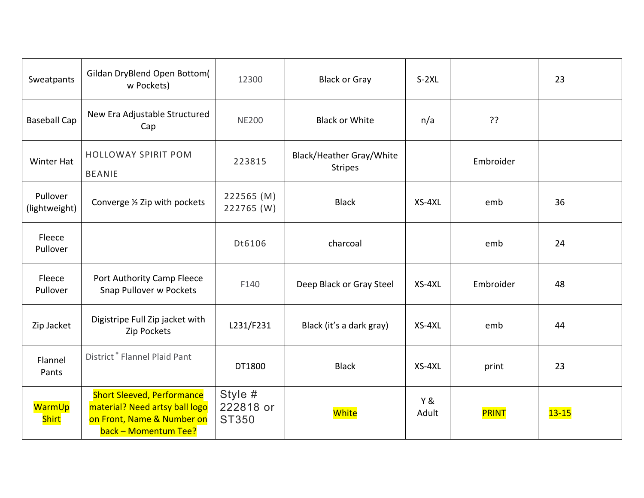| Sweatpants                | Gildan DryBlend Open Bottom(<br>w Pockets)                                                                                | 12300                                | <b>Black or Gray</b>                              | $S-2XL$                 |              | 23        |  |
|---------------------------|---------------------------------------------------------------------------------------------------------------------------|--------------------------------------|---------------------------------------------------|-------------------------|--------------|-----------|--|
| <b>Baseball Cap</b>       | New Era Adjustable Structured<br>Cap                                                                                      | <b>NE200</b>                         | <b>Black or White</b>                             | n/a                     | ??           |           |  |
| <b>Winter Hat</b>         | <b>HOLLOWAY SPIRIT POM</b><br><b>BEANIE</b>                                                                               | 223815                               | <b>Black/Heather Gray/White</b><br><b>Stripes</b> |                         | Embroider    |           |  |
| Pullover<br>(lightweight) | Converge 1/2 Zip with pockets                                                                                             | 222565 (M)<br>222765 (W)             | <b>Black</b>                                      | $XS-4XL$                | emb          | 36        |  |
| Fleece<br>Pullover        |                                                                                                                           | Dt6106                               | charcoal                                          |                         | emb          | 24        |  |
| Fleece<br>Pullover        | Port Authority Camp Fleece<br>Snap Pullover w Pockets                                                                     | F140                                 | Deep Black or Gray Steel                          | XS-4XL                  | Embroider    | 48        |  |
| Zip Jacket                | Digistripe Full Zip jacket with<br>Zip Pockets                                                                            | L231/F231                            | Black (it's a dark gray)                          | XS-4XL                  | emb          | 44        |  |
| Flannel<br>Pants          | District <sup>®</sup> Flannel Plaid Pant                                                                                  | DT1800                               | <b>Black</b>                                      | $XS-4XL$                | print        | 23        |  |
| WarmUp<br><b>Shirt</b>    | <b>Short Sleeved, Performance</b><br>material? Need artsy ball logo<br>on Front, Name & Number on<br>back - Momentum Tee? | Style #<br>222818 or<br><b>ST350</b> | White                                             | <b>Y &amp;</b><br>Adult | <b>PRINT</b> | $13 - 15$ |  |